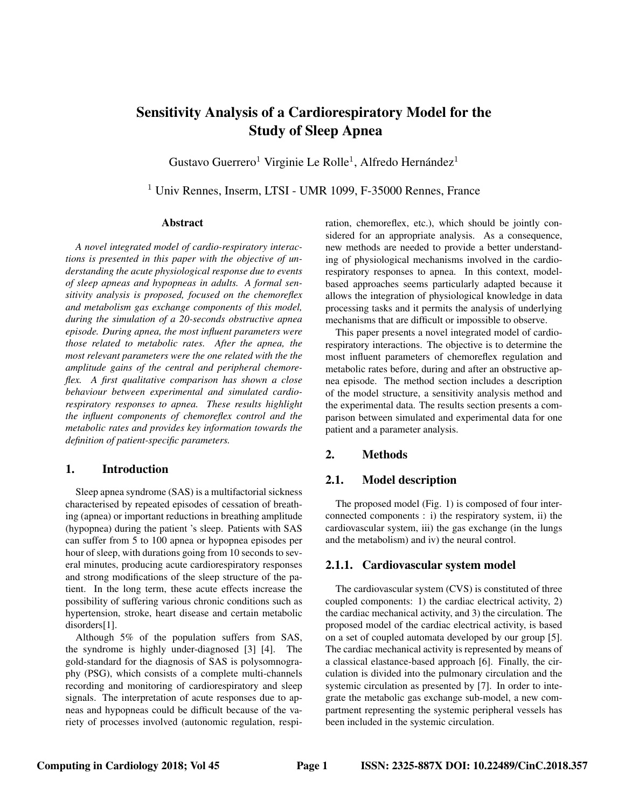# Sensitivity Analysis of a Cardiorespiratory Model for the Study of Sleep Apnea

Gustavo Guerrero<sup>1</sup> Virginie Le Rolle<sup>1</sup>, Alfredo Hernández<sup>1</sup>

<sup>1</sup> Univ Rennes, Inserm, LTSI - UMR 1099, F-35000 Rennes, France

#### Abstract

*A novel integrated model of cardio-respiratory interactions is presented in this paper with the objective of understanding the acute physiological response due to events of sleep apneas and hypopneas in adults. A formal sensitivity analysis is proposed, focused on the chemoreflex and metabolism gas exchange components of this model, during the simulation of a 20-seconds obstructive apnea episode. During apnea, the most influent parameters were those related to metabolic rates. After the apnea, the most relevant parameters were the one related with the the amplitude gains of the central and peripheral chemoreflex. A first qualitative comparison has shown a close behaviour between experimental and simulated cardiorespiratory responses to apnea. These results highlight the influent components of chemoreflex control and the metabolic rates and provides key information towards the definition of patient-specific parameters.*

## 1. Introduction

Sleep apnea syndrome (SAS) is a multifactorial sickness characterised by repeated episodes of cessation of breathing (apnea) or important reductions in breathing amplitude (hypopnea) during the patient 's sleep. Patients with SAS can suffer from 5 to 100 apnea or hypopnea episodes per hour of sleep, with durations going from 10 seconds to several minutes, producing acute cardiorespiratory responses and strong modifications of the sleep structure of the patient. In the long term, these acute effects increase the possibility of suffering various chronic conditions such as hypertension, stroke, heart disease and certain metabolic disorders[1].

Although 5% of the population suffers from SAS, the syndrome is highly under-diagnosed [3] [4]. The gold-standard for the diagnosis of SAS is polysomnography (PSG), which consists of a complete multi-channels recording and monitoring of cardiorespiratory and sleep signals. The interpretation of acute responses due to apneas and hypopneas could be difficult because of the variety of processes involved (autonomic regulation, respiration, chemoreflex, etc.), which should be jointly considered for an appropriate analysis. As a consequence, new methods are needed to provide a better understanding of physiological mechanisms involved in the cardiorespiratory responses to apnea. In this context, modelbased approaches seems particularly adapted because it allows the integration of physiological knowledge in data processing tasks and it permits the analysis of underlying mechanisms that are difficult or impossible to observe.

This paper presents a novel integrated model of cardiorespiratory interactions. The objective is to determine the most influent parameters of chemoreflex regulation and metabolic rates before, during and after an obstructive apnea episode. The method section includes a description of the model structure, a sensitivity analysis method and the experimental data. The results section presents a comparison between simulated and experimental data for one patient and a parameter analysis.

# 2. Methods

# 2.1. Model description

The proposed model (Fig. 1) is composed of four interconnected components : i) the respiratory system, ii) the cardiovascular system, iii) the gas exchange (in the lungs and the metabolism) and iv) the neural control.

## 2.1.1. Cardiovascular system model

The cardiovascular system (CVS) is constituted of three coupled components: 1) the cardiac electrical activity, 2) the cardiac mechanical activity, and 3) the circulation. The proposed model of the cardiac electrical activity, is based on a set of coupled automata developed by our group [5]. The cardiac mechanical activity is represented by means of a classical elastance-based approach [6]. Finally, the circulation is divided into the pulmonary circulation and the systemic circulation as presented by [7]. In order to integrate the metabolic gas exchange sub-model, a new compartment representing the systemic peripheral vessels has been included in the systemic circulation.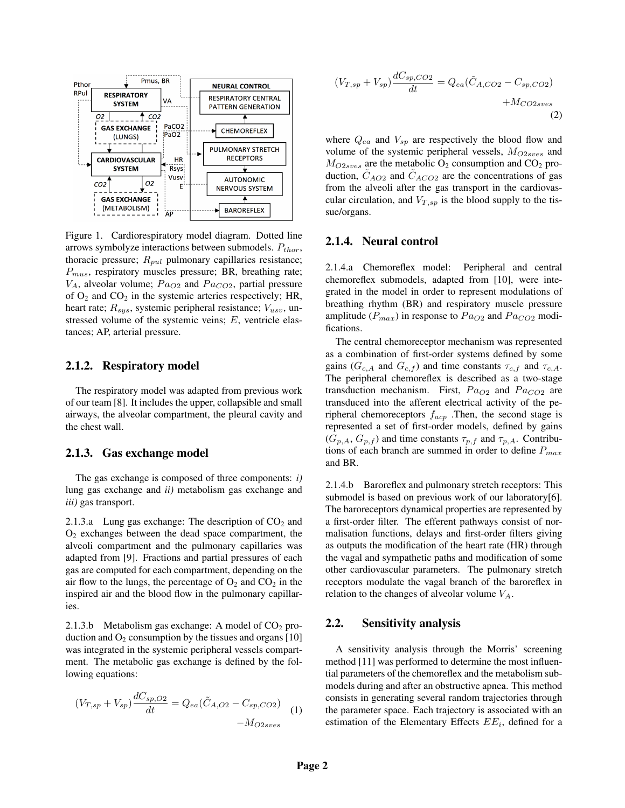

Figure 1. Cardiorespiratory model diagram. Dotted line arrows symbolyze interactions between submodels. *Pthor*, thoracic pressure; *Rpul* pulmonary capillaries resistance; *Pmus*, respiratory muscles pressure; BR, breathing rate;  $V_A$ , alveolar volume;  $Pa_{O2}$  and  $Pa_{CO2}$ , partial pressure of  $O_2$  and  $CO_2$  in the systemic arteries respectively; HR, heart rate; *Rsys*, systemic peripheral resistance; *Vusv*, unstressed volume of the systemic veins; *E*, ventricle elastances; AP, arterial pressure.

#### 2.1.2. Respiratory model

The respiratory model was adapted from previous work of our team [8]. It includes the upper, collapsible and small airways, the alveolar compartment, the pleural cavity and the chest wall.

#### 2.1.3. Gas exchange model

The gas exchange is composed of three components: *i)* lung gas exchange and *ii)* metabolism gas exchange and *iii)* gas transport.

2.1.3.a Lung gas exchange: The description of  $CO<sub>2</sub>$  and O2 exchanges between the dead space compartment, the alveoli compartment and the pulmonary capillaries was adapted from [9]. Fractions and partial pressures of each gas are computed for each compartment, depending on the air flow to the lungs, the percentage of  $O_2$  and  $CO_2$  in the inspired air and the blood flow in the pulmonary capillaries.

2.1.3.b Metabolism gas exchange: A model of  $CO<sub>2</sub>$  production and  $O_2$  consumption by the tissues and organs [10] was integrated in the systemic peripheral vessels compartment. The metabolic gas exchange is defined by the following equations:

$$
(V_{T,sp} + V_{sp})\frac{dC_{sp,O2}}{dt} = Q_{ea}(\tilde{C}_{A,O2} - C_{sp,CO2}) - M_{O2sves}
$$
 (1)

$$
(V_{T,sp} + V_{sp})\frac{dC_{sp,CO2}}{dt} = Q_{ea}(\tilde{C}_{A,CO2} - C_{sp,CO2}) + M_{CO2sves}
$$
\n(2)

where *Qea* and *Vsp* are respectively the blood flow and volume of the systemic peripheral vessels, *MO*2*sves* and  $M_{O2sves}$  are the metabolic  $O_2$  consumption and  $CO_2$  production,  $C_{AO2}$  and  $C_{ACO2}$  are the concentrations of gas from the alveoli after the gas transport in the cardiovascular circulation, and  $V_{T,sp}$  is the blood supply to the tissue/organs.

#### 2.1.4. Neural control

2.1.4.a Chemoreflex model: Peripheral and central chemoreflex submodels, adapted from [10], were integrated in the model in order to represent modulations of breathing rhythm (BR) and respiratory muscle pressure amplitude ( $P_{max}$ ) in response to  $Pa_{O2}$  and  $Pa_{CO2}$  modifications.

The central chemoreceptor mechanism was represented as a combination of first-order systems defined by some gains ( $G_{c,A}$  and  $G_{c,f}$ ) and time constants  $\tau_{c,f}$  and  $\tau_{c,A}$ . The peripheral chemoreflex is described as a two-stage transduction mechanism. First,  $Pa<sub>O2</sub>$  and  $Pa<sub>CO2</sub>$  are transduced into the afferent electrical activity of the peripheral chemoreceptors *facp* .Then, the second stage is represented a set of first-order models, defined by gains  $(G_{p,A}, G_{p,f})$  and time constants  $\tau_{p,f}$  and  $\tau_{p,A}$ . Contributions of each branch are summed in order to define *Pmax* and BR.

2.1.4.b Baroreflex and pulmonary stretch receptors: This submodel is based on previous work of our laboratory[6]. The baroreceptors dynamical properties are represented by a first-order filter. The efferent pathways consist of normalisation functions, delays and first-order filters giving as outputs the modification of the heart rate (HR) through the vagal and sympathetic paths and modification of some other cardiovascular parameters. The pulmonary stretch receptors modulate the vagal branch of the baroreflex in relation to the changes of alveolar volume *VA*.

## 2.2. Sensitivity analysis

A sensitivity analysis through the Morris' screening method [11] was performed to determine the most influential parameters of the chemoreflex and the metabolism submodels during and after an obstructive apnea. This method consists in generating several random trajectories through the parameter space. Each trajectory is associated with an estimation of the Elementary Effects *EEi*, defined for a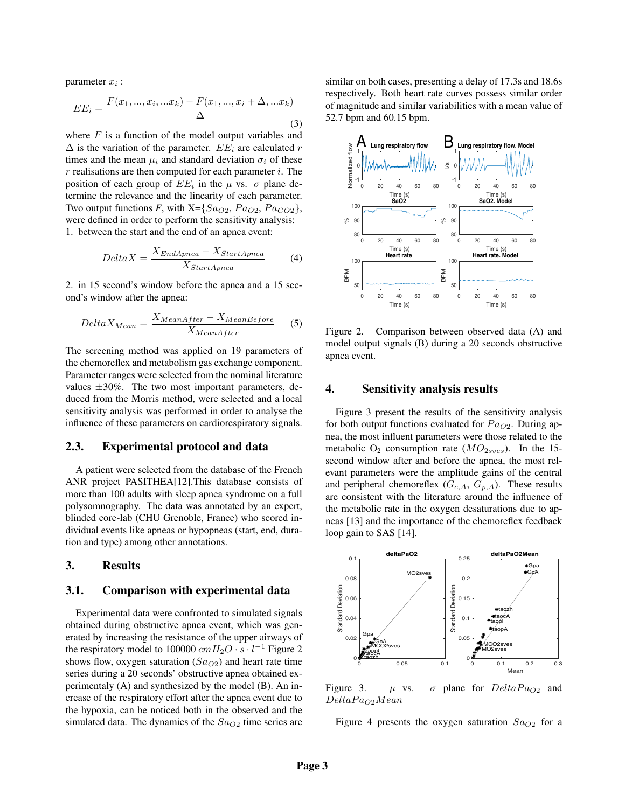parameter *x<sup>i</sup>* :

$$
EE_i = \frac{F(x_1, ..., x_i, ...x_k) - F(x_1, ..., x_i + \Delta, ...x_k)}{\Delta}
$$
\n(3)

where *F* is a function of the model output variables and  $\Delta$  is the variation of the parameter.  $EE_i$  are calculated *r* times and the mean  $\mu_i$  and standard deviation  $\sigma_i$  of these *r* realisations are then computed for each parameter *i*. The position of each group of  $EE_i$  in the  $\mu$  vs.  $\sigma$  plane determine the relevance and the linearity of each parameter. Two output functions *F*, with  $X = \{Sa_{O2}, Pa_{O2}, Pa_{CO2}\},\$ were defined in order to perform the sensitivity analysis: 1. between the start and the end of an apnea event:

$$
Delta X = \frac{X_{End\text{A}pnea} - X_{Start\text{A}pnea}}{X_{Start\text{A}pnea}} \tag{4}
$$

2. in 15 second's window before the apnea and a 15 second's window after the apnea:

$$
Delta X_{Mean} = \frac{X_{MeanAfter} - X_{MeanBefore}}{X_{MeanAfter}}
$$
 (5)

The screening method was applied on 19 parameters of the chemoreflex and metabolism gas exchange component. Parameter ranges were selected from the nominal literature values *±*30%. The two most important parameters, deduced from the Morris method, were selected and a local sensitivity analysis was performed in order to analyse the influence of these parameters on cardiorespiratory signals.

#### 2.3. Experimental protocol and data

A patient were selected from the database of the French ANR project PASITHEA[12].This database consists of more than 100 adults with sleep apnea syndrome on a full polysomnography. The data was annotated by an expert, blinded core-lab (CHU Grenoble, France) who scored individual events like apneas or hypopneas (start, end, duration and type) among other annotations.

# 3. Results

#### 3.1. Comparison with experimental data

Experimental data were confronted to simulated signals obtained during obstructive apnea event, which was generated by increasing the resistance of the upper airways of the respiratory model to 100000  $cmH_2O \cdot s \cdot l^{-1}$  Figure 2 shows flow, oxygen saturation  $(Sa_{O2})$  and heart rate time series during a 20 seconds' obstructive apnea obtained experimentaly (A) and synthesized by the model (B). An increase of the respiratory effort after the apnea event due to the hypoxia, can be noticed both in the observed and the simulated data. The dynamics of the *SaO*<sup>2</sup> time series are

similar on both cases, presenting a delay of 17.3s and 18.6s respectively. Both heart rate curves possess similar order of magnitude and similar variabilities with a mean value of 52.7 bpm and 60.15 bpm.



Figure 2. Comparison between observed data (A) and model output signals (B) during a 20 seconds obstructive apnea event.

## 4. Sensitivity analysis results

Figure 3 present the results of the sensitivity analysis for both output functions evaluated for *P aO*2. During apnea, the most influent parameters were those related to the metabolic  $O_2$  consumption rate  $(MO_{2sves})$ . In the 15second window after and before the apnea, the most relevant parameters were the amplitude gains of the central and peripheral chemoreflex  $(G_{c,A}, G_{p,A})$ . These results are consistent with the literature around the influence of the metabolic rate in the oxygen desaturations due to apneas [13] and the importance of the chemoreflex feedback loop gain to SAS [14].



Figure 3.  $\mu$  vs.  $\sigma$  plane for  $Delta Pa_{O2}$  and *DeltaP aO*2*Mean*

Figure 4 presents the oxygen saturation  $Sa<sub>O2</sub>$  for a